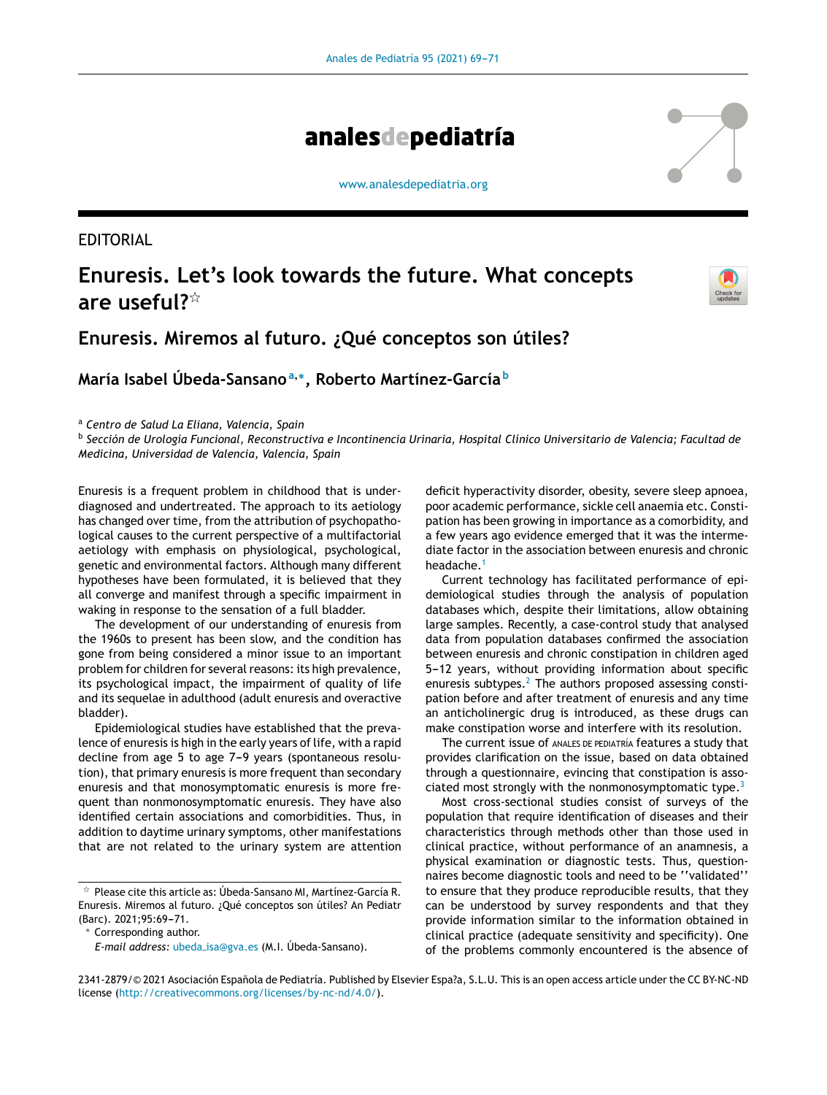

[www.analesdepediatria.org](http://www.analesdepediatria.org)

EDITORIAL

# **Enuresis. Let's look towards the future. What concepts are useful?**-



# **Enuresis. Miremos al futuro. ¿Qué conceptos son útiles?**

**María Isabel Úbeda-Sansano<sup>a</sup>**,<sup>∗</sup> **, Roberto Martínez-García <sup>b</sup>**

<sup>a</sup> *Centro de Salud La Eliana, Valencia, Spain*

<sup>b</sup> Sección de Urología Funcional, Reconstructiva e Incontinencia Urinaria, Hospital Clínico Universitario de Valencia; Facultad de *Medicina, Universidad de Valencia, Valencia, Spain*

Enuresis is a frequent problem in childhood that is underdiagnosed and undertreated. The approach to its aetiology has changed over time, from the attribution of psychopathological causes to the current perspective of a multifactorial aetiology with emphasis on physiological, psychological, genetic and environmental factors. Although many different hypotheses have been formulated, it is believed that they all converge and manifest through a specific impairment in waking in response to the sensation of a full bladder.

The development of our understanding of enuresis from the 1960s to present has been slow, and the condition has gone from being considered a minor issue to an important problem for children for several reasons: its high prevalence, its psychological impact, the impairment of quality of life and its sequelae in adulthood (adult enuresis and overactive bladder).

Epidemiological studies have established that the prevalence of enuresis is high in the early years of life, with a rapid decline from age 5 to age 7-9 years (spontaneous resolution), that primary enuresis is more frequent than secondary enuresis and that monosymptomatic enuresis is more frequent than nonmonosymptomatic enuresis. They have also identified certain associations and comorbidities. Thus, in addition to daytime urinary symptoms, other manifestations that are not related to the urinary system are attention

Corresponding author.

deficit hyperactivity disorder, obesity, severe sleep apnoea, poor academic performance, sickle cell anaemia etc. Constipation has been growing in importance as a comorbidity, and a few years ago evidence emerged that it was the intermediate factor in the association between enuresis and chronic headache.<sup>[1](#page-2-0)</sup>

Current technology has facilitated performance of epidemiological studies through the analysis of population databases which, despite their limitations, allow obtaining large samples. Recently, a case-control study that analysed data from population databases confirmed the association between enuresis and chronic constipation in children aged 5-12 years, without providing information about specific enuresis subtypes.<sup>[2](#page-2-0)</sup> The authors proposed assessing constipation before and after treatment of enuresis and any time an anticholinergic drug is introduced, as these drugs can make constipation worse and interfere with its resolution.

The current issue of ANALES DE PEDIATRÍA features a study that provides clarification on the issue, based on data obtained through a questionnaire, evincing that constipation is associated most strongly with the nonmonosymptomatic type. $3$ 

Most cross-sectional studies consist of surveys of the population that require identification of diseases and their characteristics through methods other than those used in clinical practice, without performance of an anamnesis, a physical examination or diagnostic tests. Thus, questionnaires become diagnostic tools and need to be ''validated'' to ensure that they produce reproducible results, that they can be understood by survey respondents and that they provide information similar to the information obtained in clinical practice (adequate sensitivity and specificity). One of the problems commonly encountered is the absence of

 $^\star$  Please cite this article as: Úbeda-Sansano MI, Martínez-García R. Enuresis. Miremos al futuro. ¿Qué conceptos son útiles? An Pediatr (Barc). 2021;95:69-71.

*E-mail address:* ubeda [isa@gva.es](mailto:ubeda_isa@gva.es) (M.I. Úbeda-Sansano).

<sup>2341-2879/© 2021</sup> Asociación Española de Pediatría. Published by Elsevier Espa?a, S.L.U. This is an open access article under the CC BY-NC-ND license (<http://creativecommons.org/licenses/by-nc-nd/4.0/>).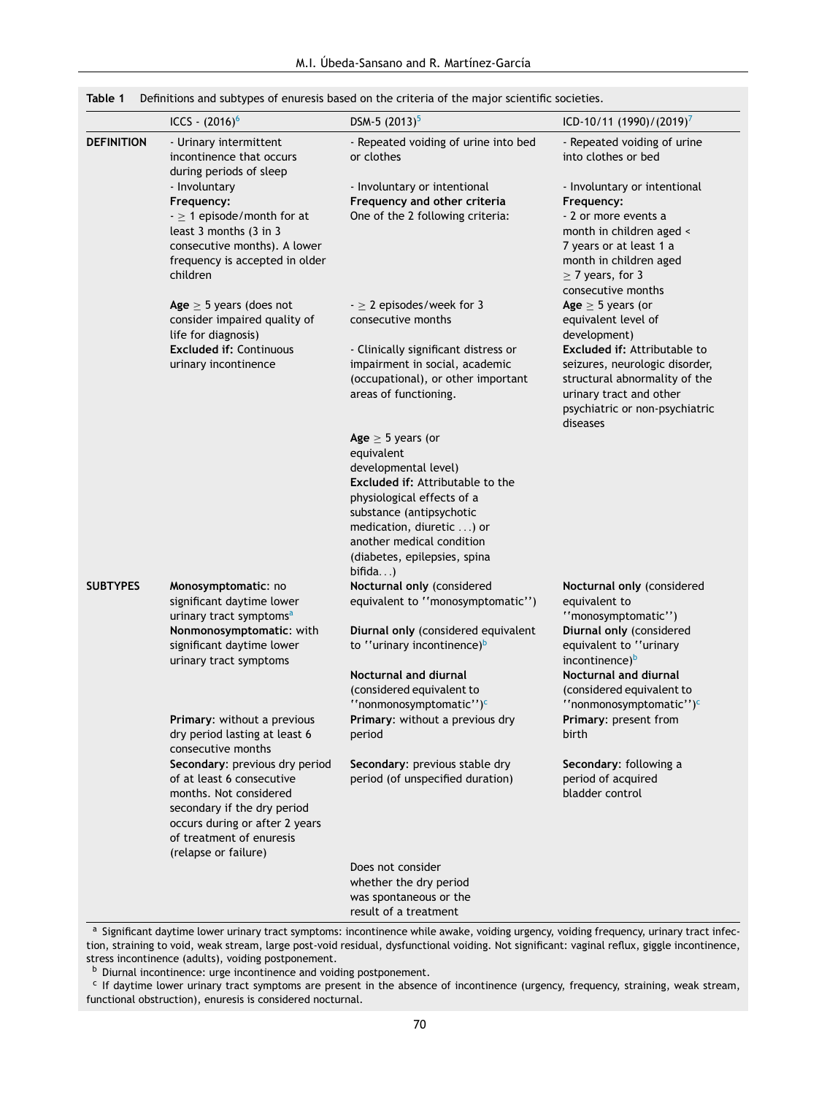<span id="page-1-0"></span>

|                   | ICCS - $(2016)^6$                                                                                                                                                                                                                | DSM-5 $(2013)^5$                                                                                                                                                                                                                                     | ICD-10/11 (1990)/(2019) <sup>7</sup>                                                                                                                                                               |
|-------------------|----------------------------------------------------------------------------------------------------------------------------------------------------------------------------------------------------------------------------------|------------------------------------------------------------------------------------------------------------------------------------------------------------------------------------------------------------------------------------------------------|----------------------------------------------------------------------------------------------------------------------------------------------------------------------------------------------------|
| <b>DEFINITION</b> | - Urinary intermittent<br>incontinence that occurs<br>during periods of sleep                                                                                                                                                    | - Repeated voiding of urine into bed<br>or clothes                                                                                                                                                                                                   | - Repeated voiding of urine<br>into clothes or bed                                                                                                                                                 |
|                   | - Involuntary<br>Frequency:<br>$- \geq 1$ episode/month for at<br>least 3 months (3 in 3<br>consecutive months). A lower<br>frequency is accepted in older<br>children                                                           | - Involuntary or intentional<br>Frequency and other criteria<br>One of the 2 following criteria:                                                                                                                                                     | - Involuntary or intentional<br>Frequency:<br>- 2 or more events a<br>month in children aged <<br>7 years or at least 1 a<br>month in children aged<br>$\geq$ 7 years, for 3<br>consecutive months |
|                   | Age $\geq$ 5 years (does not<br>consider impaired quality of<br>life for diagnosis)                                                                                                                                              | $ \geq$ 2 episodes/week for 3<br>consecutive months                                                                                                                                                                                                  | Age $\geq$ 5 years (or<br>equivalent level of<br>development)                                                                                                                                      |
|                   | <b>Excluded if: Continuous</b><br>urinary incontinence                                                                                                                                                                           | - Clinically significant distress or<br>impairment in social, academic<br>(occupational), or other important<br>areas of functioning.                                                                                                                | <b>Excluded if: Attributable to</b><br>seizures, neurologic disorder,<br>structural abnormality of the<br>urinary tract and other<br>psychiatric or non-psychiatric<br>diseases                    |
|                   |                                                                                                                                                                                                                                  | Age $\geq$ 5 years (or<br>equivalent<br>developmental level)<br>Excluded if: Attributable to the<br>physiological effects of a<br>substance (antipsychotic<br>medication, diuretic ) or<br>another medical condition<br>(diabetes, epilepsies, spina |                                                                                                                                                                                                    |
| <b>SUBTYPES</b>   | Monosymptomatic: no<br>significant daytime lower<br>urinary tract symptoms <sup>a</sup>                                                                                                                                          | bifida<br>Nocturnal only (considered<br>equivalent to "monosymptomatic")                                                                                                                                                                             | Nocturnal only (considered<br>equivalent to<br>"monosymptomatic")                                                                                                                                  |
|                   | Nonmonosymptomatic: with<br>significant daytime lower<br>urinary tract symptoms                                                                                                                                                  | Diurnal only (considered equivalent<br>to "urinary incontinence) <sup>b</sup>                                                                                                                                                                        | Diurnal only (considered<br>equivalent to "urinary<br>incontinence) <sup>b</sup>                                                                                                                   |
|                   | Primary: without a previous<br>dry period lasting at least 6                                                                                                                                                                     | <b>Nocturnal and diurnal</b><br>(considered equivalent to<br>"nonmonosymptomatic") <sup>c</sup><br>Primary: without a previous dry<br>period                                                                                                         | <b>Nocturnal and diurnal</b><br>(considered equivalent to<br>"nonmonosymptomatic") <sup>c</sup><br>Primary: present from<br>birth                                                                  |
|                   | consecutive months<br>Secondary: previous dry period<br>of at least 6 consecutive<br>months. Not considered<br>secondary if the dry period<br>occurs during or after 2 years<br>of treatment of enuresis<br>(relapse or failure) | Secondary: previous stable dry<br>period (of unspecified duration)                                                                                                                                                                                   | Secondary: following a<br>period of acquired<br>bladder control                                                                                                                                    |
|                   |                                                                                                                                                                                                                                  | Does not consider<br>whether the dry period<br>was spontaneous or the<br>result of a treatment                                                                                                                                                       |                                                                                                                                                                                                    |

a Significant daytime lower urinary tract symptoms: incontinence while awake, voiding urgency, voiding frequency, urinary tract infection, straining to void, weak stream, large post-void residual, dysfunctional voiding. Not significant: vaginal reflux, giggle incontinence, stress incontinence (adults), voiding postponement.

**b** Diurnal incontinence: urge incontinence and voiding postponement.

<sup>c</sup> If daytime lower urinary tract symptoms are present in the absence of incontinence (urgency, frequency, straining, weak stream, functional obstruction), enuresis is considered nocturnal.